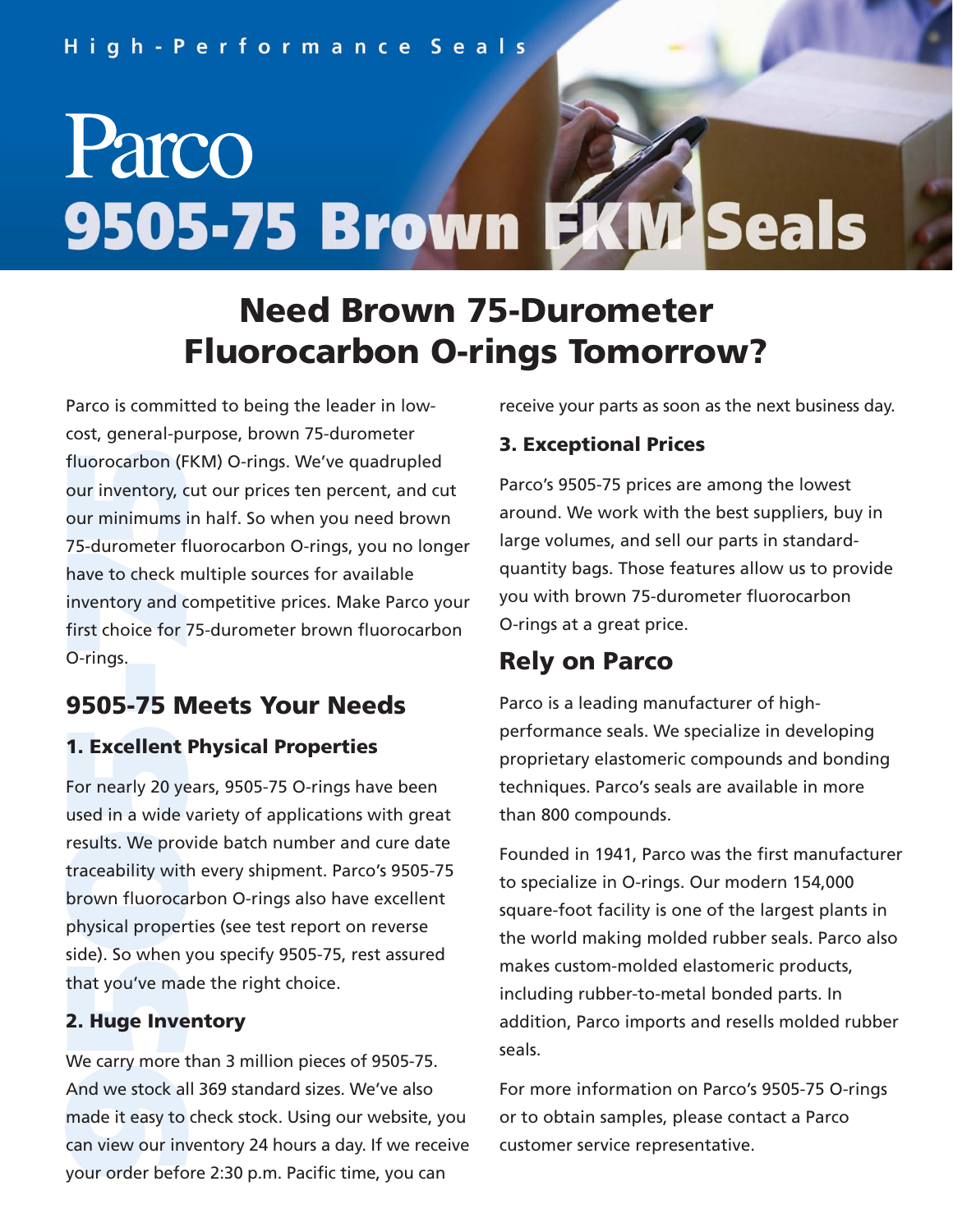# Parco 9505-75 Brown EKM Seals

## **Need Brown 75-Durometer Fluorocarbon O-rings Tomorrow?**

fluorocarbon (F<br>our inventory, c<br>our minimums i<br>75-durometer f<br>have to check n<br>inventory and c<br>first choice for i<br>O-rings.<br>**9505-75 M**<br>1. **Excellent**<br>For nearly 20 ye<br>used in a wide<br>results. We prov<br>traceability with<br>brown Parco is committed to being the leader in lowcost, general-purpose, brown 75-durometer fluorocarbon (FKM) O-rings. We've quadrupled our inventory, cut our prices ten percent, and cut our minimums in half. So when you need brown 75-durometer fluorocarbon O-rings, you no longer have to check multiple sources for available inventory and competitive prices. Make Parco your first choice for 75-durometer brown fluorocarbon O-rings.

### **9505-75 Meets Your Needs**

#### **1. Excellent Physical Properties**

For nearly 20 years, 9505-75 O-rings have been used in a wide variety of applications with great results. We provide batch number and cure date traceability with every shipment. Parco's 9505-75 brown fluorocarbon O-rings also have excellent physical properties (see test report on reverse side). So when you specify 9505-75, rest assured that you've made the right choice.

#### **2. Huge Inventory**

We carry more than 3 million pieces of 9505-75. And we stock all 369 standard sizes. We've also made it easy to check stock. Using our website, you can view our inventory 24 hours a day. If we receive your order before 2:30 p.m. Pacific time, you can

receive your parts as soon as the next business day.

#### **3. Exceptional Prices**

Parco's 9505-75 prices are among the lowest around. We work with the best suppliers, buy in large volumes, and sell our parts in standardquantity bags. Those features allow us to provide you with brown 75-durometer fluorocarbon O-rings at a great price.

#### **Rely on Parco**

Parco is a leading manufacturer of highperformance seals. We specialize in developing proprietary elastomeric compounds and bonding techniques. Parco's seals are available in more than 800 compounds.

Founded in 1941, Parco was the first manufacturer to specialize in O-rings. Our modern 154,000 square-foot facility is one of the largest plants in the world making molded rubber seals. Parco also makes custom-molded elastomeric products, including rubber-to-metal bonded parts. In addition, Parco imports and resells molded rubber seals.

For more information on Parco's 9505-75 O-rings or to obtain samples, please contact a Parco customer service representative.